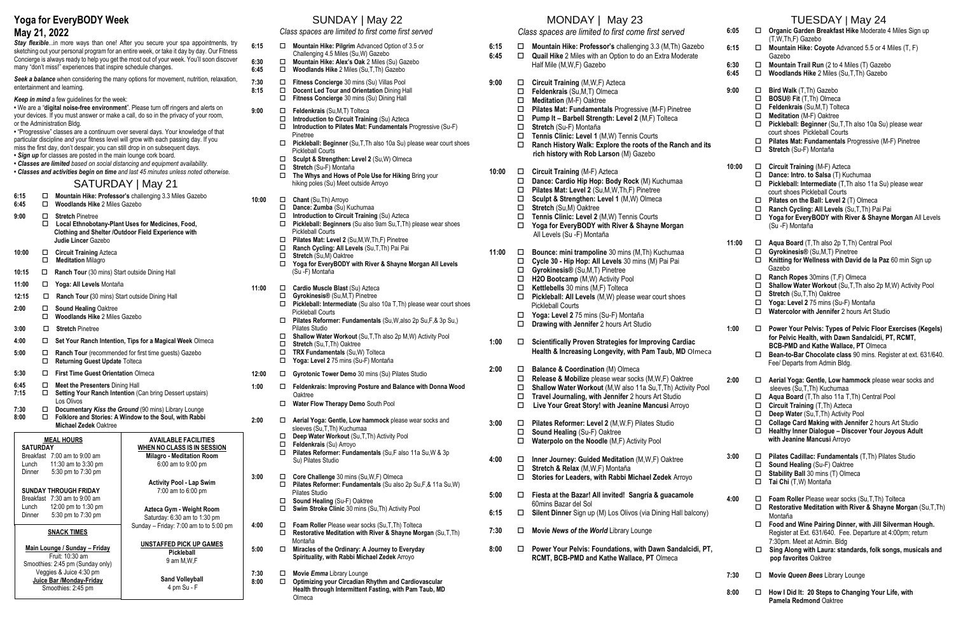## **Yoga for EveryBODY Week**

#### **May 21, 2022**

**Stay flexible...**in more ways than one! After you secure your spa appointments, try sketching out your personal program for an entire week, or take it day by day. Our Fitness Concierge is always ready to help you get the most out of your week. You'll soon discover many "don't miss!" experiences that inspire schedule changes.

*Seek a balance* when considering the many options for movement, nutrition, relaxation, entertainment and learning.

- *Keep in mind* a few guidelines for the week:
- **•** We are a "**digital noise-free environment**". Please turn off ringers and alerts on your devices. If you must answer or make a call, do so in the privacy of your room, or the Administration Bldg.
- **•** "Progressive" classes are a continuum over several days. Your knowledge of that particular discipline *and* your fitness level will grow with each passing day. If you miss the first day, don't despair; you can still drop in on subsequent days.
- *Sign up* for classes are posted in the main lounge cork board.
- *Classes are limited based on social distancing and equipment availability.*  **•** *Classes and activities begin on time and last 45 minutes unless noted otherwise.*

### SATURDAY | May 21

- **6:15 Mountain Hike: Professor's** challenging 3.3 Miles Gazebo
- **6:45 Woodlands Hike** 2 Miles Gazebo
- **9:00 Stretch** Pinetree **Local Ethnobotany-Plant Uses for Medicines, Food,** 
	- **Clothing and Shelter /Outdoor Field Experience with Judie Lincer** Gazebo
- **10:00 Circuit Training** Azteca **Meditation** Milagro
- **10:15** □ **Ranch Tour** (30 mins) Start outside Dining Hall
- **11:00 Yoga: All Levels** Montaña
- 12:15  $\Box$  **Ranch Tour (**30 mins) Start outside Dining Hall
- **2:00 □ Sound Healing Oaktree Woodlands Hike** 2 Miles Gazebo
- 
- **3:00 Stretch** Pinetree
- **4:00 Set Your Ranch Intention, Tips for a Magical Week** Olmeca
- **5:00 Ranch Tour** (recommended for first time guests) Gazebo **Returning Guest Update** Tolteca
- **5:30 First Time Guest Orientation** Olmeca
- **6:45 □** Meet the Presenters Dining Hall<br>7:15 **□** Setting Your Ranch Intention (0
- **7:15 Setting Your Ranch Intention** (Can bring Dessert upstairs) Los Olivos
- **7:30 Documentary** *Kiss the Ground* (90 mins) Library Lounge
- **8:00 Folklore and Stories: A Window to the Soul, with Rabbi Michael Zedek** Oaktree

# SUNDAY | May 22

*Class spaces are limited to first come first served*

- **6:15 Mountain Hike: Pilgrim** Advanced Option of 3.5 or Challenging 4.5 Miles (Su,W) Gazebo
- **6:30 Mountain Hike: Alex's Oak** 2 Miles (Su) Gazebo
- **6:45 Woodlands Hike** 2 Miles (Su,T,Th) Gazebo
- **7:30 Fitness Concierge** 30 mins (Su) Villas Pool
- 8:15  $\Box$  Docent Led Tour and Orientation Dining Hall
	- Fitness Concierge 30 mins (Su) Dining Hall
- **9:00 Feldenkrais** (Su,M,T) Tolteca
	- **Introduction to Circuit Training** (Su) Azteca
	- **Introduction to Pilates Mat: Fundamentals** Progressive (Su-F) **Pinetree**<br>**Pickleba**
	- **Pickleball: Beginner** (Su,T,Th also 10a Su) please wear court shoes Pickleball Courts
	- **Sculpt & Strengthen: Level 2** (Su,W) Olmeca
	- **□** Stretch (Su-F) Montaña<br>□ The Whys and Hows of
	- **The Whys and Hows of Pole Use for Hiking** Bring your hiking poles (Su) Meet outside Arroyo
- **10:00 □ Chant** (Su,Th) Arroyo<br>□ **Dance: Zumba** (Su) K
	- **Dance: Zumba** (Su) Kuchumaa
	- **Introduction to Circuit Training** (Su) Azteca
	- **Pickleball: Beginners** (Su also 9am Su,T,Th) please wear shoes Pickleball Courts
	- $\Box$  Pilates Mat: Level 2 (Su, M, W, Th, F) Pinetree <br>**□ Ranch Cycling: All Levels** (Su, T, Th) Pai Pai
	- **Ranch Cycling: All Levels** (Su,T,Th) Pai Pai
	- **Stretch** (Su,M) Oaktree
	- **Yoga for EveryBODY with River & Shayne Morgan All Levels** (Su -F) Montaña
- **11:00 Cardio Muscle Blast** (Su) Azteca
- **Gyrokinesis®** (Su,M,T) Pinetree
	- **Pickleball: Intermediate** (Su also 10a T,Th) please wear court shoes Pickleball Courts
	- **Pilates Reformer: Fundamentals** (Su,W,also 2p Su,F,& 3p Su,) Pilates Studio
	- **Shallow Water Workout** (Su,T,Th also 2p M,W) Activity Pool
	- **Stretch** (Su,T,Th) Oaktree
	- **TRX Fundamentals** (Su,W) Tolteca
	- **Yoga: Level 2** 75 mins (Su-F) Montaña
- **12:00 Gyrotonic Tower Demo** 30 mins (Su) Pilates Studio
- **1:00 Feldenkrais: Improving Posture and Balance with Donna Wood** Oaktree
	- **Water Flow Therapy Demo** South Pool
- **2:00 Aerial Yoga: Gentle, Low hammock** please wear socks and sleeves (Su,T,Th) Kuchumaa
	- **Deep Water Workout** (Su,T,Th) Activity Pool
	- **Feldenkrais** (Su) Arroyo
		- **Pilates Reformer: Fundamentals** (Su,F also 11a Su,W & 3p Su) Pilates Studio
- **3:00 Core Challenge** 30 mins (Su,W,F) Olmeca **Pilates Reformer: Fundamentals** (Su also 2p Su,F,& 11a Su,W) Pilates Studio
	- **Sound Healing** (Su-F) Oaktree
	- **Swim Stroke Clinic** 30 mins (Su,Th) Activity Pool
- **4:00 Foam Roller** Please wear socks (Su,T,Th) Tolteca
	- **Restorative Meditation with River & Shayne Morgan** (Su,T,Th) Montaña
- **5:00 Miracles of the Ordinary: A Journey to Everyday Spirituality, with Rabbi Michael Zedek** Arroyo
- **7:30 □ Movie** *Emma* Library Lounge
- **8:00 Optimizing your Circadian Rhythm and Cardiovascular Health through Intermittent Fasting, with Pam Taub, MD** Olmeca

#### MONDAY | May 23

- **6:15 Mountain Hike: Professor's** challenging 3.3 (M,Th) Gazebo **6:45 Quail Hike** 2 Miles with an Option to do an Extra Moderate
	- Half Mile (M,W,F) Gazebo
- 9:00 **□ Circuit Training** (M,W,F) Azteca
	- **Feldenkrais** (Su,M,T) Olmeca
	- **Meditation** (M-F) Oaktree
	- **Pilates Mat: Fundamentals** Progressive (M-F) Pinetree
	- **Pump It – Barbell Strength: Level 2** (M,F) Tolteca
	- $\square$  **Stretch (Su-F) Montaña**
	- **Tennis Clinic: Level 1** (M,W) Tennis Courts
	- □ Ranch History Walk: Explore the roots of the Ranch and **rich history with Rob Larson** (M) Gazebo
- **10:00 Circuit Training** (M-F) Azteca
	- **Dance: Cardio Hip Hop: Body Rock** (M) Kuchumaa
	- **Pilates Mat: Level 2** (Su,M,W,Th,F) Pinetree
	- **Sculpt & Strengthen: Level 1** (M,W) Olmeca
	- **Stretch** (Su,M) Oaktree
	- **Tennis Clinic: Level 2** (M,W) Tennis Courts
	- **Yoga for EveryBODY with River & Shayne Morgan** All Levels (Su -F) Montaña
- **11:00 Bounce: mini trampoline** 30 mins (M,Th) Kuchumaa
	- **Cycle 30 - Hip Hop: All Levels** 30 mins (M) Pai Pai
	- **Gyrokinesis®** (Su,M,T) Pinetree
	- **H2O Bootcamp** (M,W) Activity Pool
	- **Kettlebells** 30 mins (M,F) Tolteca

|              |                                                               | MONDAY   May 23                                                                                                                                                                                                                                                                                                                                                                              |                |                                                     | TUESDAY   May 24                                                                                                                                                                                                                                                                                                                                                                |
|--------------|---------------------------------------------------------------|----------------------------------------------------------------------------------------------------------------------------------------------------------------------------------------------------------------------------------------------------------------------------------------------------------------------------------------------------------------------------------------------|----------------|-----------------------------------------------------|---------------------------------------------------------------------------------------------------------------------------------------------------------------------------------------------------------------------------------------------------------------------------------------------------------------------------------------------------------------------------------|
|              |                                                               | Class spaces are limited to first come first served                                                                                                                                                                                                                                                                                                                                          | 6:05           |                                                     | Organic Garden Breakfast Hike Moderate 4 Miles Sign up<br>(T,W,Th,F) Gazebo                                                                                                                                                                                                                                                                                                     |
| 6:15<br>6:45 | □<br>□.                                                       | Mountain Hike: Professor's challenging 3.3 (M, Th) Gazebo<br>Quail Hike 2 Miles with an Option to do an Extra Moderate                                                                                                                                                                                                                                                                       | 6:15           | $\Box$                                              | Mountain Hike: Coyote Advanced 5.5 or 4 Miles (T, F)<br>Gazebo                                                                                                                                                                                                                                                                                                                  |
|              |                                                               | Half Mile (M, W, F) Gazebo                                                                                                                                                                                                                                                                                                                                                                   | 6:30<br>6:45   | $\Box$<br>$\Box$                                    | Mountain Trail Run (2 to 4 Miles (T) Gazebo<br>Woodlands Hike 2 Miles (Su, T, Th) Gazebo                                                                                                                                                                                                                                                                                        |
| 9:00         | □<br>□<br>$\Box$<br>$\Box$<br>$\Box$<br>$\Box$<br>$\Box$<br>□ | Circuit Training (M, W, F) Azteca<br>Feldenkrais (Su, M, T) Olmeca<br>Meditation (M-F) Oaktree<br>Pilates Mat: Fundamentals Progressive (M-F) Pinetree<br>Pump It - Barbell Strength: Level 2 (M,F) Tolteca<br>Stretch (Su-F) Montaña<br>Tennis Clinic: Level 1 (M,W) Tennis Courts<br>Ranch History Walk: Explore the roots of the Ranch and its<br>rich history with Rob Larson (M) Gazebo | 9:00           | $\Box$<br>$\Box$<br>0<br>$\Box$<br>□<br>□           | Bird Walk (T, Th) Gazebo<br><b>BOSU® Fit (T,Th) Olmeca</b><br>Feldenkrais (Su,M,T) Tolteca<br>Meditation (M-F) Oaktree<br>Pickleball: Beginner (Su, T, Th also 10a Su) please wear<br>court shoes Pickleball Courts<br>Pilates Mat: Fundamentals Progressive (M-F) Pinetree<br>Stretch (Su-F) Montaña                                                                           |
| 10:00        | □<br>□<br>□<br>□<br>$\Box$<br>$\Box$<br>$\Box$                | Circuit Training (M-F) Azteca<br>Dance: Cardio Hip Hop: Body Rock (M) Kuchumaa<br>Pilates Mat: Level 2 (Su, M, W, Th, F) Pinetree<br>Sculpt & Strengthen: Level 1 (M,W) Olmeca<br><b>Stretch (Su,M) Oaktree</b><br>Tennis Clinic: Level 2 (M,W) Tennis Courts<br>Yoga for EveryBODY with River & Shayne Morgan<br>All Levels (Su -F) Montaña                                                 | 10:00          | $\Box$<br>$\Box$<br>0<br>0                          | <b>Circuit Training (M-F) Azteca</b><br>Dance: Intro. to Salsa (T) Kuchumaa<br>Pickleball: Intermediate (T, Th also 11a Su) please wear<br>court shoes Pickleball Courts<br>Pilates on the Ball: Level 2 (T) Olmeca<br>Ranch Cycling: All Levels (Su, T, Th) Pai Pai<br>Yoga for EveryBODY with River & Shayne Morgan All Levels<br>(Su -F) Montaña                             |
| 11:00        | $\Box$<br>□<br>□<br>□<br>$\Box$<br>□<br>□                     | Bounce: mini trampoline 30 mins (M, Th) Kuchumaa<br>Cycle 30 - Hip Hop: All Levels 30 mins (M) Pai Pai<br>Gyrokinesis® (Su,M,T) Pinetree<br>H2O Bootcamp (M,W) Activity Pool<br>Kettlebells 30 mins (M,F) Tolteca<br>Pickleball: All Levels (M,W) please wear court shoes<br><b>Pickleball Courts</b><br>Yoga: Level 2 75 mins (Su-F) Montaña                                                | 11:00          | $\Box$<br>0<br>$\Box$<br>□<br>□<br>$\Box$<br>$\Box$ | Aqua Board (T, Th also 2p T, Th) Central Pool<br>Gyrokinesis® (Su,M,T) Pinetree<br>Knitting for Wellness with David de la Paz 60 min Sign up<br>Gazebo<br>Ranch Ropes 30mins (T,F) Olmeca<br>Shallow Water Workout (Su, T, Th also 2p M, W) Activity Pool<br>Stretch (Su, T, Th) Oaktree<br>Yoga: Level 2 75 mins (Su-F) Montaña<br>Watercolor with Jennifer 2 hours Art Studio |
|              | □                                                             | Drawing with Jennifer 2 hours Art Studio                                                                                                                                                                                                                                                                                                                                                     | 1:00           | $\Box$                                              | Power Your Pelvis: Types of Pelvic Floor Exercises (Kegels)<br>for Pelvic Health, with Dawn Sandalcidi, PT, RCMT,                                                                                                                                                                                                                                                               |
| 1:00         | □                                                             | <b>Scientifically Proven Strategies for Improving Cardiac</b><br>Health & Increasing Longevity, with Pam Taub, MD Olmeca                                                                                                                                                                                                                                                                     |                | ⊔                                                   | <b>BCB-PMD and Kathe Wallace, PT Olmeca</b><br>Bean-to-Bar Chocolate class 90 mins. Register at ext. 631/640.<br>Fee/ Departs from Admin Bldg.                                                                                                                                                                                                                                  |
| 2:00<br>3:00 | □<br>□<br>□<br>□<br>□<br>□<br>□                               | <b>Balance &amp; Coordination (M) Olmeca</b><br>Release & Mobilize please wear socks (M, W, F) Oaktree<br>Shallow Water Workout (M, W also 11a Su, T, Th) Activity Pool<br>Travel Journaling, with Jennifer 2 hours Art Studio<br>Live Your Great Story! with Jeanine Mancusi Arroyo<br>Pilates Reformer: Level 2 (M, W.F) Pilates Studio<br>Sound Healing (Su-F) Oaktree                    | 2:00           | □<br>$\Box$<br>0                                    | Aerial Yoga: Gentle, Low hammock please wear socks and<br>sleeves (Su,T,Th) Kuchumaa<br>Aqua Board (T, Th also 11a T, Th) Central Pool<br>Circuit Training (T, Th) Azteca<br>Deep Water (Su, T, Th) Activity Pool<br>Collage Card Making with Jennifer 2 hours Art Studio<br>Healthy Inner Dialogue - Discover Your Joyous Adult                                                |
|              |                                                               | Waterpolo on the Noodle (M,F) Activity Pool                                                                                                                                                                                                                                                                                                                                                  |                |                                                     | with Jeanine Mancusi Arroyo                                                                                                                                                                                                                                                                                                                                                     |
| 4:00         | □<br>□<br>□                                                   | Inner Journey: Guided Meditation (M, W, F) Oaktree<br>Stretch & Relax (M, W, F) Montaña<br>Stories for Leaders, with Rabbi Michael Zedek Arroyo                                                                                                                                                                                                                                              | 3:00           | ш<br>$\Box$<br>□<br>0                               | Pilates Cadillac: Fundamentals (T,Th) Pilates Studio<br>Sound Healing (Su-F) Oaktree<br>Stability Ball 30 mins (T) Olmeca<br>Tai Chi (T,W) Montaña                                                                                                                                                                                                                              |
| 5:00         | $\Box$                                                        | Fiesta at the Bazar! All invited! Sangría & guacamole<br>60mins Bazar del Sol                                                                                                                                                                                                                                                                                                                | 4:00<br>$\Box$ | Foam Roller Please wear socks (Su, T, Th) Tolteca   |                                                                                                                                                                                                                                                                                                                                                                                 |
| 6:15         | □                                                             | Silent Dinner Sign up (M) Los Olivos (via Dining Hall balcony)                                                                                                                                                                                                                                                                                                                               |                | □                                                   | Restorative Meditation with River & Shayne Morgan (Su,T,Th)<br>Montaña                                                                                                                                                                                                                                                                                                          |
| 7:30         | ш                                                             | Movie News of the World Library Lounge                                                                                                                                                                                                                                                                                                                                                       |                | □                                                   | Food and Wine Pairing Dinner, with Jill Silverman Hough.<br>Register at Ext. 631/640. Fee. Departure at 4:00pm; return<br>7:30pm. Meet at Admin. Bldg                                                                                                                                                                                                                           |
| 8:00         | □                                                             | Power Your Pelvis: Foundations, with Dawn Sandalcidi, PT,<br>RCMT, BCB-PMD and Kathe Wallace, PT Olmeca                                                                                                                                                                                                                                                                                      |                | ш                                                   | Sing Along with Laura: standards, folk songs, musicals and<br>pop favorites Oaktree                                                                                                                                                                                                                                                                                             |
|              |                                                               |                                                                                                                                                                                                                                                                                                                                                                                              | 7:30           | $\Box$                                              | Movie Queen Bees Library Lounge                                                                                                                                                                                                                                                                                                                                                 |
|              |                                                               |                                                                                                                                                                                                                                                                                                                                                                                              | 8:00           |                                                     | How I Did It: 20 Steps to Changing Your Life, with<br>Pamela Redmond Oaktree                                                                                                                                                                                                                                                                                                    |

| <b>MEAL HOURS</b><br><b>SATURDAY</b><br>Breakfast 7:00 am to 9:00 am<br>Lunch<br>11:30 am to $3:30$ pm<br>5:30 pm to 7:30 pm<br>Dinner                                                  | <b>AVAILABLE FACILITIES</b><br><b>WHEN NO CLASS IS IN SESSION</b><br><b>Milagro - Meditation Room</b><br>6:00 am to 9:00 pm              |
|-----------------------------------------------------------------------------------------------------------------------------------------------------------------------------------------|------------------------------------------------------------------------------------------------------------------------------------------|
| <b>SUNDAY THROUGH FRIDAY</b><br>Breakfast 7:30 am to 9:00 am<br>Lunch $12:00 \text{ pm}$ to 1:30 pm<br>5:30 pm to 7:30 pm<br>Dinner                                                     | <b>Activity Pool - Lap Swim</b><br>7:00 am to 6:00 pm<br>Azteca Gym - Weight Room<br>Saturday: 6:30 am to 1:30 pm                        |
| <b>SNACK TIMES</b><br>Main Lounge / Sunday – Friday<br>Fruit: 10:30 am<br>Smoothies: 2:45 pm (Sunday only)<br>Veggies & Juice 4:30 pm<br>Juice Bar /Monday-Friday<br>Smoothies: 2:45 pm | Sunday - Friday: 7:00 am to to 5:00 pm<br>UNSTAFFED PICK UP GAMES<br>Pickleball<br>9 am M, W, F<br><b>Sand Volleyball</b><br>4 pm Su - F |